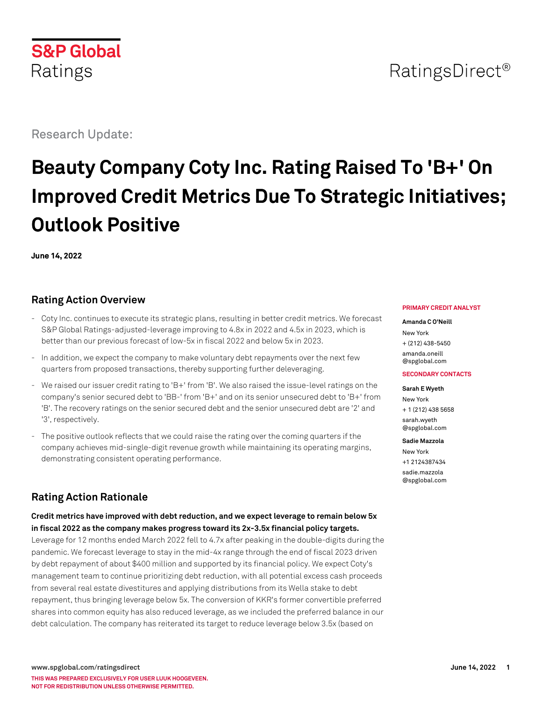

Research Update:

# **Beauty Company Coty Inc. Rating Raised To 'B+' On Improved Credit Metrics Due To Strategic Initiatives; Outlook Positive**

**June 14, 2022**

# **Rating Action Overview**

- Coty Inc. continues to execute its strategic plans, resulting in better credit metrics. We forecast S&P Global Ratings-adjusted-leverage improving to 4.8x in 2022 and 4.5x in 2023, which is better than our previous forecast of low-5x in fiscal 2022 and below 5x in 2023.
- In addition, we expect the company to make voluntary debt repayments over the next few quarters from proposed transactions, thereby supporting further deleveraging.
- We raised our issuer credit rating to 'B+' from 'B'. We also raised the issue-level ratings on the company's senior secured debt to 'BB-' from 'B+' and on its senior unsecured debt to 'B+' from 'B'. The recovery ratings on the senior secured debt and the senior unsecured debt are '2' and '3', respectively.
- The positive outlook reflects that we could raise the rating over the coming quarters if the company achieves mid-single-digit revenue growth while maintaining its operating margins, demonstrating consistent operating performance.

# **Rating Action Rationale**

**Credit metrics have improved with debt reduction, and we expect leverage to remain below 5x in fiscal 2022 as the company makes progress toward its 2x-3.5x financial policy targets.**

Leverage for 12 months ended March 2022 fell to 4.7x after peaking in the double-digits during the pandemic. We forecast leverage to stay in the mid-4x range through the end of fiscal 2023 driven by debt repayment of about \$400 million and supported by its financial policy. We expect Coty's management team to continue prioritizing debt reduction, with all potential excess cash proceeds from several real estate divestitures and applying distributions from its Wella stake to debt repayment, thus bringing leverage below 5x. The conversion of KKR's former convertible preferred shares into common equity has also reduced leverage, as we included the preferred balance in our debt calculation. The company has reiterated its target to reduce leverage below 3.5x (based on

#### **PRIMARY CREDIT ANALYST**

#### **Amanda C O'Neill**

New York + (212) 438-5450 [amanda.oneill](mailto:amanda.oneill@spglobal.com) [@spglobal.com](mailto:amanda.oneill@spglobal.com)

### **SECONDARY CONTACTS**

**Sarah E Wyeth**

New York + 1 (212) 438 5658 [sarah.wyeth](mailto:sarah.wyeth@spglobal.com) [@spglobal.com](mailto:sarah.wyeth@spglobal.com)

#### **Sadie Mazzola**

New York +1 2124387434 [sadie.mazzola](mailto:sadie.mazzola@spglobal.com) [@spglobal.com](mailto:sadie.mazzola@spglobal.com)

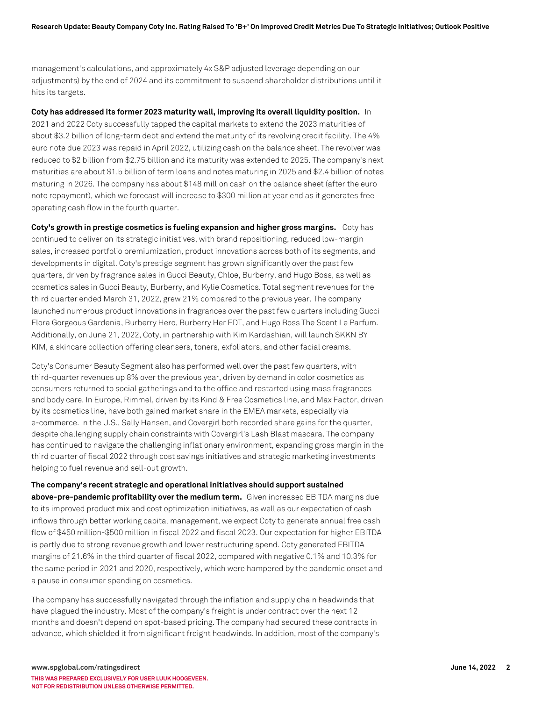management's calculations, and approximately 4x S&P adjusted leverage depending on our adjustments) by the end of 2024 and its commitment to suspend shareholder distributions until it hits its targets.

**Coty has addressed its former 2023 maturity wall, improving its overall liquidity position.** In 2021 and 2022 Coty successfully tapped the capital markets to extend the 2023 maturities of about \$3.2 billion of long-term debt and extend the maturity of its revolving credit facility. The 4% euro note due 2023 was repaid in April 2022, utilizing cash on the balance sheet. The revolver was reduced to \$2 billion from \$2.75 billion and its maturity was extended to 2025. The company's next maturities are about \$1.5 billion of term loans and notes maturing in 2025 and \$2.4 billion of notes maturing in 2026. The company has about \$148 million cash on the balance sheet (after the euro note repayment), which we forecast will increase to \$300 million at year end as it generates free operating cash flow in the fourth quarter.

**Coty's growth in prestige cosmetics is fueling expansion and higher gross margins.** Coty has continued to deliver on its strategic initiatives, with brand repositioning, reduced low-margin sales, increased portfolio premiumization, product innovations across both of its segments, and developments in digital. Coty's prestige segment has grown significantly over the past few quarters, driven by fragrance sales in Gucci Beauty, Chloe, Burberry, and Hugo Boss, as well as cosmetics sales in Gucci Beauty, Burberry, and Kylie Cosmetics. Total segment revenues for the third quarter ended March 31, 2022, grew 21% compared to the previous year. The company launched numerous product innovations in fragrances over the past few quarters including Gucci Flora Gorgeous Gardenia, Burberry Hero, Burberry Her EDT, and Hugo Boss The Scent Le Parfum. Additionally, on June 21, 2022, Coty, in partnership with Kim Kardashian, will launch SKKN BY KIM, a skincare collection offering cleansers, toners, exfoliators, and other facial creams.

Coty's Consumer Beauty Segment also has performed well over the past few quarters, with third-quarter revenues up 8% over the previous year, driven by demand in color cosmetics as consumers returned to social gatherings and to the office and restarted using mass fragrances and body care. In Europe, Rimmel, driven by its Kind & Free Cosmetics line, and Max Factor, driven by its cosmetics line, have both gained market share in the EMEA markets, especially via e-commerce. In the U.S., Sally Hansen, and Covergirl both recorded share gains for the quarter, despite challenging supply chain constraints with Covergirl's Lash Blast mascara. The company has continued to navigate the challenging inflationary environment, expanding gross margin in the third quarter of fiscal 2022 through cost savings initiatives and strategic marketing investments helping to fuel revenue and sell-out growth.

**The company's recent strategic and operational initiatives should support sustained above-pre-pandemic profitability over the medium term.** Given increased EBITDA margins due to its improved product mix and cost optimization initiatives, as well as our expectation of cash inflows through better working capital management, we expect Coty to generate annual free cash flow of \$450 million-\$500 million in fiscal 2022 and fiscal 2023. Our expectation for higher EBITDA is partly due to strong revenue growth and lower restructuring spend. Coty generated EBITDA margins of 21.6% in the third quarter of fiscal 2022, compared with negative 0.1% and 10.3% for the same period in 2021 and 2020, respectively, which were hampered by the pandemic onset and a pause in consumer spending on cosmetics.

The company has successfully navigated through the inflation and supply chain headwinds that have plagued the industry. Most of the company's freight is under contract over the next 12 months and doesn't depend on spot-based pricing. The company had secured these contracts in advance, which shielded it from significant freight headwinds. In addition, most of the company's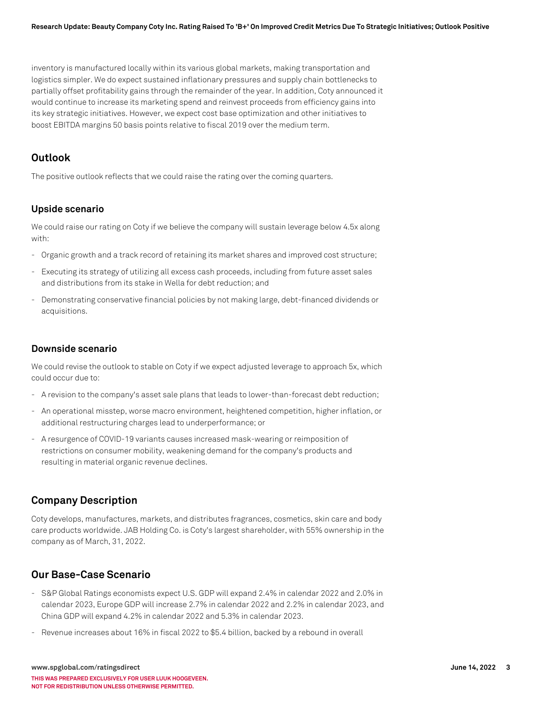inventory is manufactured locally within its various global markets, making transportation and logistics simpler. We do expect sustained inflationary pressures and supply chain bottlenecks to partially offset profitability gains through the remainder of the year. In addition, Coty announced it would continue to increase its marketing spend and reinvest proceeds from efficiency gains into its key strategic initiatives. However, we expect cost base optimization and other initiatives to boost EBITDA margins 50 basis points relative to fiscal 2019 over the medium term.

# **Outlook**

The positive outlook reflects that we could raise the rating over the coming quarters.

## **Upside scenario**

We could raise our rating on Coty if we believe the company will sustain leverage below 4.5x along with:

- Organic growth and a track record of retaining its market shares and improved cost structure;
- Executing its strategy of utilizing all excess cash proceeds, including from future asset sales and distributions from its stake in Wella for debt reduction; and
- Demonstrating conservative financial policies by not making large, debt-financed dividends or acquisitions.

## **Downside scenario**

We could revise the outlook to stable on Coty if we expect adjusted leverage to approach 5x, which could occur due to:

- A revision to the company's asset sale plans that leads to lower-than-forecast debt reduction;
- An operational misstep, worse macro environment, heightened competition, higher inflation, or additional restructuring charges lead to underperformance; or
- A resurgence of COVID-19 variants causes increased mask-wearing or reimposition of restrictions on consumer mobility, weakening demand for the company's products and resulting in material organic revenue declines.

# **Company Description**

Coty develops, manufactures, markets, and distributes fragrances, cosmetics, skin care and body care products worldwide. JAB Holding Co. is Coty's largest shareholder, with 55% ownership in the company as of March, 31, 2022.

# **Our Base-Case Scenario**

- S&P Global Ratings economists expect U.S. GDP will expand 2.4% in calendar 2022 and 2.0% in calendar 2023, Europe GDP will increase 2.7% in calendar 2022 and 2.2% in calendar 2023, and China GDP will expand 4.2% in calendar 2022 and 5.3% in calendar 2023.
- Revenue increases about 16% in fiscal 2022 to \$5.4 billion, backed by a rebound in overall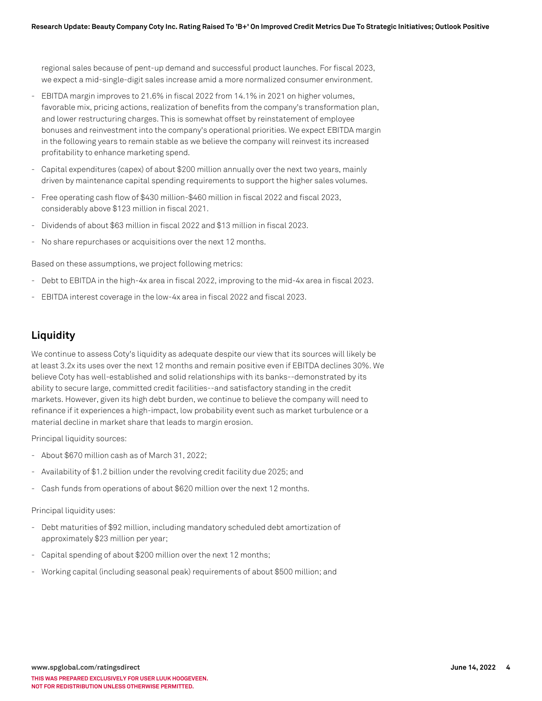regional sales because of pent-up demand and successful product launches. For fiscal 2023, we expect a mid-single-digit sales increase amid a more normalized consumer environment.

- EBITDA margin improves to 21.6% in fiscal 2022 from 14.1% in 2021 on higher volumes, favorable mix, pricing actions, realization of benefits from the company's transformation plan, and lower restructuring charges. This is somewhat offset by reinstatement of employee bonuses and reinvestment into the company's operational priorities. We expect EBITDA margin in the following years to remain stable as we believe the company will reinvest its increased profitability to enhance marketing spend.
- Capital expenditures (capex) of about \$200 million annually over the next two years, mainly driven by maintenance capital spending requirements to support the higher sales volumes.
- Free operating cash flow of \$430 million-\$460 million in fiscal 2022 and fiscal 2023, considerably above \$123 million in fiscal 2021.
- Dividends of about \$63 million in fiscal 2022 and \$13 million in fiscal 2023.
- No share repurchases or acquisitions over the next 12 months.

Based on these assumptions, we project following metrics:

- Debt to EBITDA in the high-4x area in fiscal 2022, improving to the mid-4x area in fiscal 2023.
- EBITDA interest coverage in the low-4x area in fiscal 2022 and fiscal 2023.

# **Liquidity**

We continue to assess Coty's liquidity as adequate despite our view that its sources will likely be at least 3.2x its uses over the next 12 months and remain positive even if EBITDA declines 30%. We believe Coty has well-established and solid relationships with its banks--demonstrated by its ability to secure large, committed credit facilities--and satisfactory standing in the credit markets. However, given its high debt burden, we continue to believe the company will need to refinance if it experiences a high-impact, low probability event such as market turbulence or a material decline in market share that leads to margin erosion.

Principal liquidity sources:

- About \$670 million cash as of March 31, 2022;
- Availability of \$1.2 billion under the revolving credit facility due 2025; and
- Cash funds from operations of about \$620 million over the next 12 months.

Principal liquidity uses:

- Debt maturities of \$92 million, including mandatory scheduled debt amortization of approximately \$23 million per year;
- Capital spending of about \$200 million over the next 12 months;
- Working capital (including seasonal peak) requirements of about \$500 million; and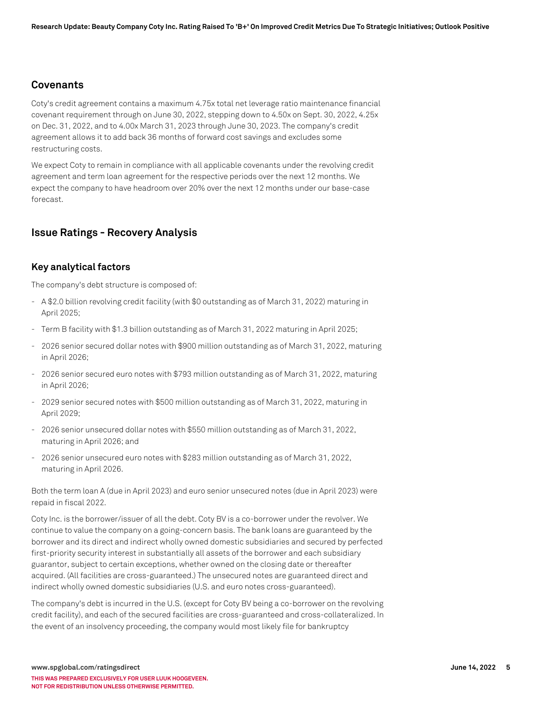# **Covenants**

Coty's credit agreement contains a maximum 4.75x total net leverage ratio maintenance financial covenant requirement through on June 30, 2022, stepping down to 4.50x on Sept. 30, 2022, 4.25x on Dec. 31, 2022, and to 4.00x March 31, 2023 through June 30, 2023. The company's credit agreement allows it to add back 36 months of forward cost savings and excludes some restructuring costs.

We expect Coty to remain in compliance with all applicable covenants under the revolving credit agreement and term loan agreement for the respective periods over the next 12 months. We expect the company to have headroom over 20% over the next 12 months under our base-case forecast.

# **Issue Ratings - Recovery Analysis**

# **Key analytical factors**

The company's debt structure is composed of:

- A \$2.0 billion revolving credit facility (with \$0 outstanding as of March 31, 2022) maturing in April 2025;
- Term B facility with \$1.3 billion outstanding as of March 31, 2022 maturing in April 2025;
- 2026 senior secured dollar notes with \$900 million outstanding as of March 31, 2022, maturing in April 2026;
- 2026 senior secured euro notes with \$793 million outstanding as of March 31, 2022, maturing in April 2026;
- 2029 senior secured notes with \$500 million outstanding as of March 31, 2022, maturing in April 2029;
- 2026 senior unsecured dollar notes with \$550 million outstanding as of March 31, 2022, maturing in April 2026; and
- 2026 senior unsecured euro notes with \$283 million outstanding as of March 31, 2022, maturing in April 2026.

Both the term loan A (due in April 2023) and euro senior unsecured notes (due in April 2023) were repaid in fiscal 2022.

Coty Inc. is the borrower/issuer of all the debt. Coty BV is a co-borrower under the revolver. We continue to value the company on a going-concern basis. The bank loans are guaranteed by the borrower and its direct and indirect wholly owned domestic subsidiaries and secured by perfected first-priority security interest in substantially all assets of the borrower and each subsidiary guarantor, subject to certain exceptions, whether owned on the closing date or thereafter acquired. (All facilities are cross-guaranteed.) The unsecured notes are guaranteed direct and indirect wholly owned domestic subsidiaries (U.S. and euro notes cross-guaranteed).

The company's debt is incurred in the U.S. (except for Coty BV being a co-borrower on the revolving credit facility), and each of the secured facilities are cross-guaranteed and cross-collateralized. In the event of an insolvency proceeding, the company would most likely file for bankruptcy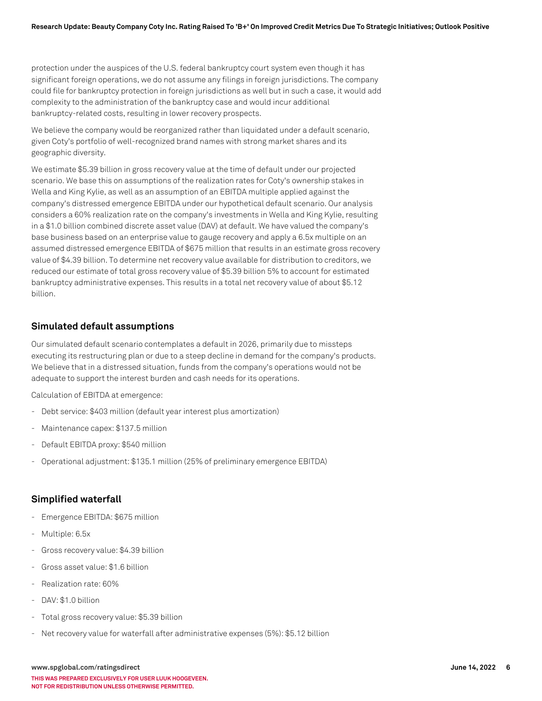protection under the auspices of the U.S. federal bankruptcy court system even though it has significant foreign operations, we do not assume any filings in foreign jurisdictions. The company could file for bankruptcy protection in foreign jurisdictions as well but in such a case, it would add complexity to the administration of the bankruptcy case and would incur additional bankruptcy-related costs, resulting in lower recovery prospects.

We believe the company would be reorganized rather than liquidated under a default scenario, given Coty's portfolio of well-recognized brand names with strong market shares and its geographic diversity.

We estimate \$5.39 billion in gross recovery value at the time of default under our projected scenario. We base this on assumptions of the realization rates for Coty's ownership stakes in Wella and King Kylie, as well as an assumption of an EBITDA multiple applied against the company's distressed emergence EBITDA under our hypothetical default scenario. Our analysis considers a 60% realization rate on the company's investments in Wella and King Kylie, resulting in a \$1.0 billion combined discrete asset value (DAV) at default. We have valued the company's base business based on an enterprise value to gauge recovery and apply a 6.5x multiple on an assumed distressed emergence EBITDA of \$675 million that results in an estimate gross recovery value of \$4.39 billion. To determine net recovery value available for distribution to creditors, we reduced our estimate of total gross recovery value of \$5.39 billion 5% to account for estimated bankruptcy administrative expenses. This results in a total net recovery value of about \$5.12 billion.

## **Simulated default assumptions**

Our simulated default scenario contemplates a default in 2026, primarily due to missteps executing its restructuring plan or due to a steep decline in demand for the company's products. We believe that in a distressed situation, funds from the company's operations would not be adequate to support the interest burden and cash needs for its operations.

Calculation of EBITDA at emergence:

- Debt service: \$403 million (default year interest plus amortization)
- Maintenance capex: \$137.5 million
- Default EBITDA proxy: \$540 million
- Operational adjustment: \$135.1 million (25% of preliminary emergence EBITDA)

# **Simplified waterfall**

- Emergence EBITDA: \$675 million
- Multiple: 6.5x
- Gross recovery value: \$4.39 billion
- Gross asset value: \$1.6 billion
- Realization rate: 60%
- DAV: \$1.0 billion
- Total gross recovery value: \$5.39 billion
- Net recovery value for waterfall after administrative expenses (5%): \$5.12 billion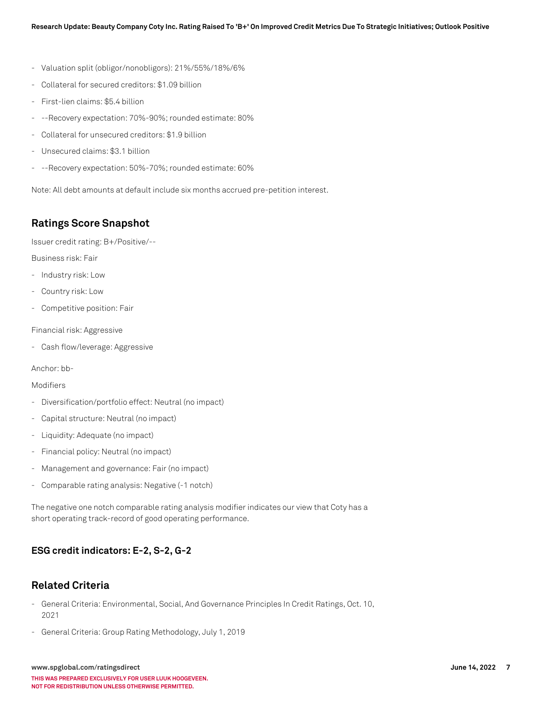- Valuation split (obligor/nonobligors): 21%/55%/18%/6%
- Collateral for secured creditors: \$1.09 billion
- First-lien claims: \$5.4 billion
- --Recovery expectation: 70%-90%; rounded estimate: 80%
- Collateral for unsecured creditors: \$1.9 billion
- Unsecured claims: \$3.1 billion
- --Recovery expectation: 50%-70%; rounded estimate: 60%

Note: All debt amounts at default include six months accrued pre-petition interest.

# **Ratings Score Snapshot**

Issuer credit rating: B+/Positive/--

Business risk: Fair

- Industry risk: Low
- Country risk: Low
- Competitive position: Fair

Financial risk: Aggressive

- Cash flow/leverage: Aggressive

Anchor: bb-

#### Modifiers

- Diversification/portfolio effect: Neutral (no impact)
- Capital structure: Neutral (no impact)
- Liquidity: Adequate (no impact)
- Financial policy: Neutral (no impact)
- Management and governance: Fair (no impact)
- Comparable rating analysis: Negative (-1 notch)

The negative one notch comparable rating analysis modifier indicates our view that Coty has a short operating track-record of good operating performance.

## **ESG credit indicators: E-2, S-2, G-2**

## **Related Criteria**

- General Criteria: Environmental, Social, And Governance Principles In Credit Ratings, Oct. 10, 2021
- General Criteria: Group Rating Methodology, July 1, 2019

**www.spglobal.com/ratingsdirect June 14, 2022 7 THIS WAS PREPARED EXCLUSIVELY FOR USER LUUK HOOGEVEEN. NOT FOR REDISTRIBUTION UNLESS OTHERWISE PERMITTED.**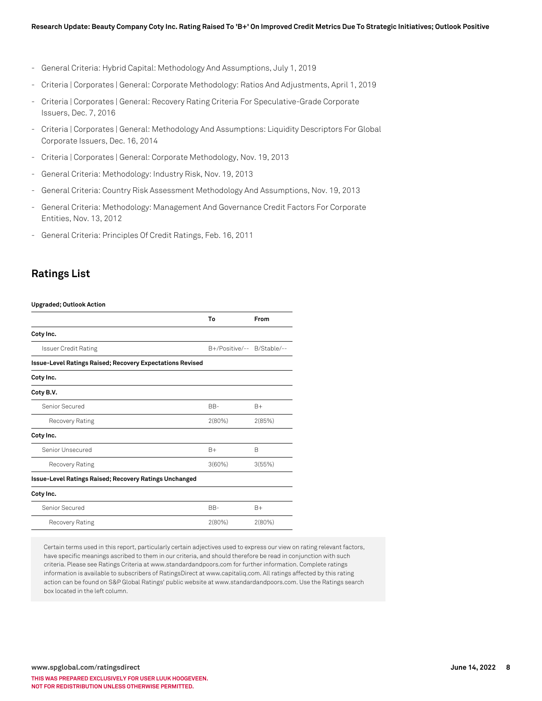- General Criteria: Hybrid Capital: Methodology And Assumptions, July 1, 2019
- Criteria | Corporates | General: Corporate Methodology: Ratios And Adjustments, April 1, 2019
- Criteria | Corporates | General: Recovery Rating Criteria For Speculative-Grade Corporate Issuers, Dec. 7, 2016
- Criteria | Corporates | General: Methodology And Assumptions: Liquidity Descriptors For Global Corporate Issuers, Dec. 16, 2014
- Criteria | Corporates | General: Corporate Methodology, Nov. 19, 2013
- General Criteria: Methodology: Industry Risk, Nov. 19, 2013
- General Criteria: Country Risk Assessment Methodology And Assumptions, Nov. 19, 2013
- General Criteria: Methodology: Management And Governance Credit Factors For Corporate Entities, Nov. 13, 2012
- General Criteria: Principles Of Credit Ratings, Feb. 16, 2011

## **Ratings List**

#### **Upgraded; Outlook Action**

|                                                           | To                         | From   |
|-----------------------------------------------------------|----------------------------|--------|
| Coty Inc.                                                 |                            |        |
| <b>Issuer Credit Rating</b>                               | B+/Positive/-- B/Stable/-- |        |
| Issue-Level Ratings Raised; Recovery Expectations Revised |                            |        |
| Coty Inc.                                                 |                            |        |
| Coty B.V.                                                 |                            |        |
| Senior Secured                                            | BB-                        | $B+$   |
| Recovery Rating                                           | 2(80%)                     | 2(85%) |
| Coty Inc.                                                 |                            |        |
| Senior Unsecured                                          | $B+$                       | B      |
| Recovery Rating                                           | 3(60%)                     | 3(55%) |
| Issue-Level Ratings Raised; Recovery Ratings Unchanged    |                            |        |
| Coty Inc.                                                 |                            |        |
| Senior Secured                                            | BB-                        | $B+$   |
| Recovery Rating                                           | 2(80%)                     | 2(80%) |

Certain terms used in this report, particularly certain adjectives used to express our view on rating relevant factors, have specific meanings ascribed to them in our criteria, and should therefore be read in conjunction with such criteria. Please see Ratings Criteria at www.standardandpoors.com for further information. Complete ratings information is available to subscribers of RatingsDirect at www.capitaliq.com. All ratings affected by this rating action can be found on S&P Global Ratings' public website at www.standardandpoors.com. Use the Ratings search box located in the left column.